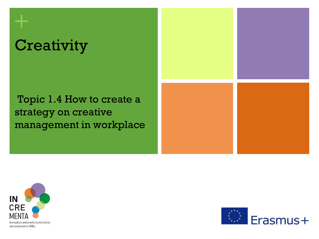# **Creativity**

**+**

## Topic 1.4 How to create a strategy on creative management in workplace





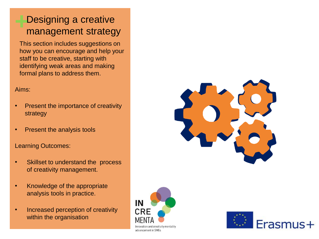#### **+**Designing a creative management strategy

This section includes suggestions on how you can encourage and help your staff to be creative, starting with identifying weak areas and making formal plans to address them.

#### Aims:

- Present the importance of creativity strategy
- Present the analysis tools

#### Learning Outcomes:

- Skillset to understand the process of creativity management.
- Knowledge of the appropriate analysis tools in practice.
- Increased perception of creativity within the organisation





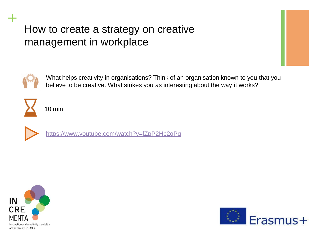

**+**

What helps creativity in organisations? Think of an organisation known to you that you believe to be creative. What strikes you as interesting about the way it works?

10 min



<https://www.youtube.com/watch?v=lZpP2Hc2gPg>



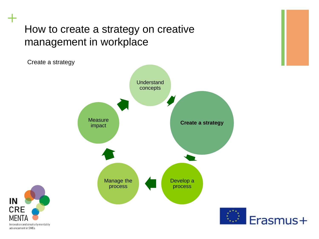**Understand** concepts **Create a strategy** Develop a process Manage the process **Measure** impact Create a strategy



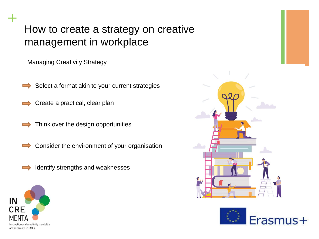Managing Creativity Strategy

Select a format akin to your current strategies

Create a practical, clear plan

Think over the design opportunities

Consider the environment of your organisation  $\Rightarrow$ 

Identify strengths and weaknesses





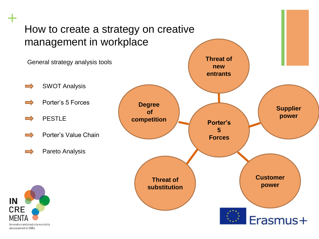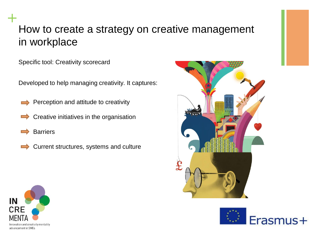Specific tool: Creativity scorecard

Developed to help managing creativity. It captures:

- Perception and attitude to creativity
- Creative initiatives in the organisation
- **Barriers**

**+**

Current structures, systems and culture





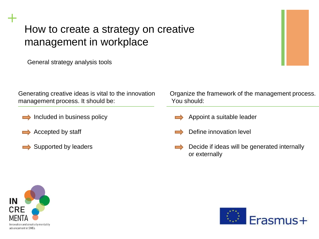General strategy analysis tools

Generating creative ideas is vital to the innovation management process. It should be:

- $\implies$  Included in business policy
- $\rightarrow$  Accepted by staff
- $\rightarrow$  Supported by leaders

Organize the framework of the management process. You should:

- Appoint a suitable leader
- Define innovation level
- Decide if ideas will be generated internally or externally



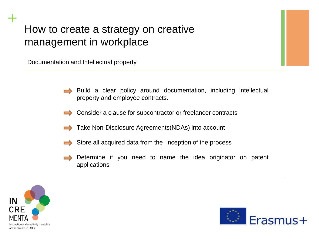Documentation and Intellectual property

- Build a clear policy around documentation, including intellectual property and employee contracts.
- Consider a clause for subcontractor or freelancer contracts
- Take Non-Disclosure Agreements(NDAs) into account
- Store all acquired data from the inception of the process
- Determine if you need to name the idea originator on patent applications



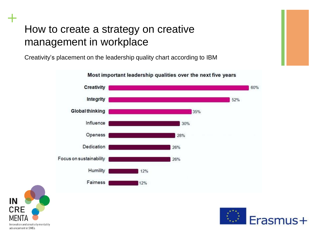Creativity's placement on the leadership quality chart according to IBM



#### Most important leadership qualities over the next five years